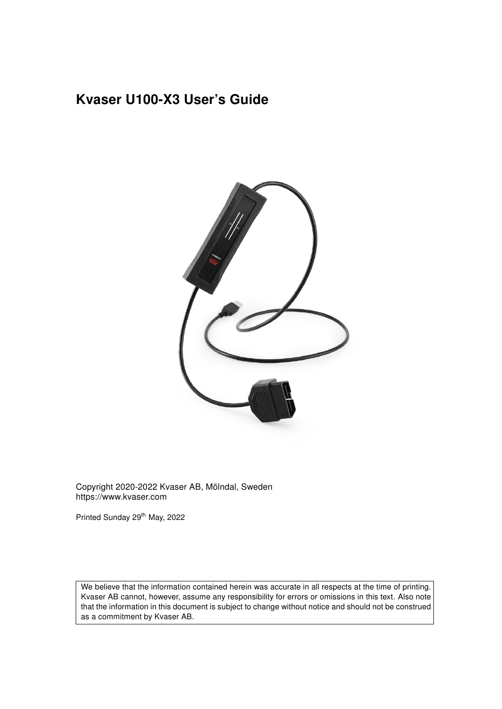## Kvaser U100-X3 User's Guide



Copyright 2020-2022 Kvaser AB, Mölndal, Sweden https://www.kvaser.com

Printed Sunday 29<sup>th</sup> May, 2022

We believe that the information contained herein was accurate in all respects at the time of printing. Kvaser AB cannot, however, assume any responsibility for errors or omissions in this text. Also note that the information in this document is subject to change without notice and should not be construed as a commitment by Kvaser AB.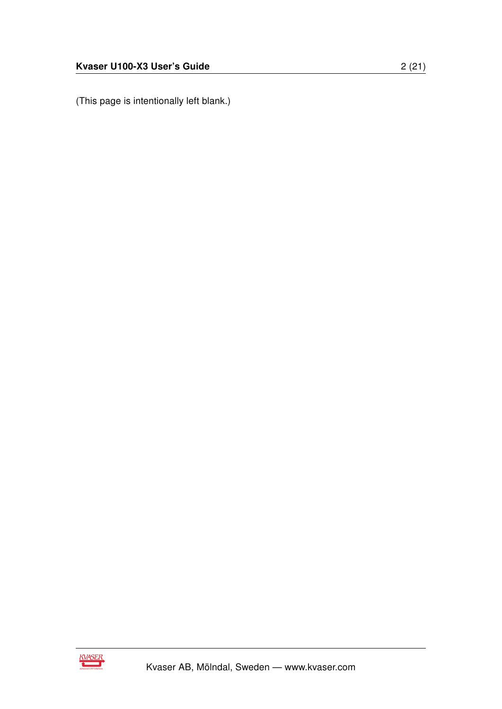(This page is intentionally left blank.)

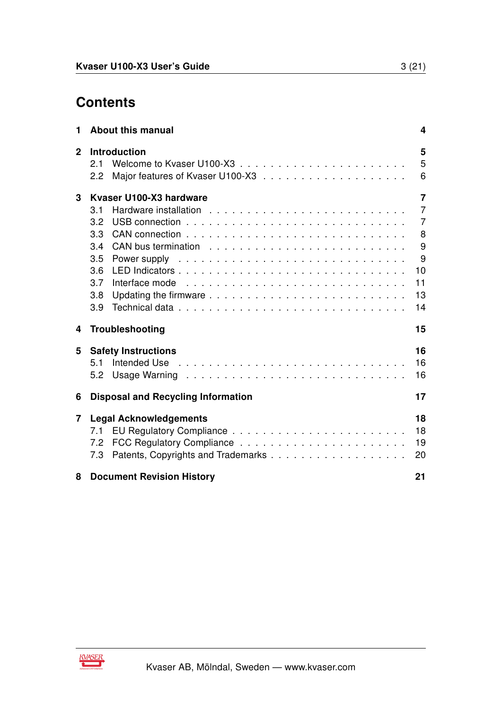# **Contents**

| 1.             |                                 | <b>About this manual</b>                                                                                                                                                                                                                                                                                                                                                                                                                                         | 4                                                            |
|----------------|---------------------------------|------------------------------------------------------------------------------------------------------------------------------------------------------------------------------------------------------------------------------------------------------------------------------------------------------------------------------------------------------------------------------------------------------------------------------------------------------------------|--------------------------------------------------------------|
| $\mathbf{2}$   | 2.1<br>$2.2\phantom{0}$         | <b>Introduction</b>                                                                                                                                                                                                                                                                                                                                                                                                                                              | 5<br>5<br>6                                                  |
| 3              | 3.1<br>3.2<br>3.3<br>3.4        | Kvaser U100-X3 hardware                                                                                                                                                                                                                                                                                                                                                                                                                                          | $\overline{7}$<br>$\overline{7}$<br>$\overline{7}$<br>8<br>9 |
|                | 3.5<br>3.6<br>3.7<br>3.8<br>3.9 | Power supply research research resources in the supply research resources in the supply of the supply of the supply of the supply of the supply of the supply of the supply of the supply of the supply of the supply of the s<br>Interface mode recover and contact the contract of the contract of the contract of the contract of the contract of the contract of the contract of the contract of the contract of the contract of the contract of the contrac | 9<br>10<br>11<br>13<br>14                                    |
| 4              |                                 | Troubleshooting                                                                                                                                                                                                                                                                                                                                                                                                                                                  | 15                                                           |
| 5              | 5.1<br>5.2                      | <b>Safety Instructions</b>                                                                                                                                                                                                                                                                                                                                                                                                                                       | 16<br>16<br>16                                               |
| 6              |                                 | <b>Disposal and Recycling Information</b>                                                                                                                                                                                                                                                                                                                                                                                                                        | 17                                                           |
| $\overline{7}$ | 7.1<br>7.2<br>7.3               | <b>Legal Acknowledgements</b>                                                                                                                                                                                                                                                                                                                                                                                                                                    | 18<br>18<br>19<br>20                                         |
| 8              |                                 | <b>Document Revision History</b>                                                                                                                                                                                                                                                                                                                                                                                                                                 | 21                                                           |

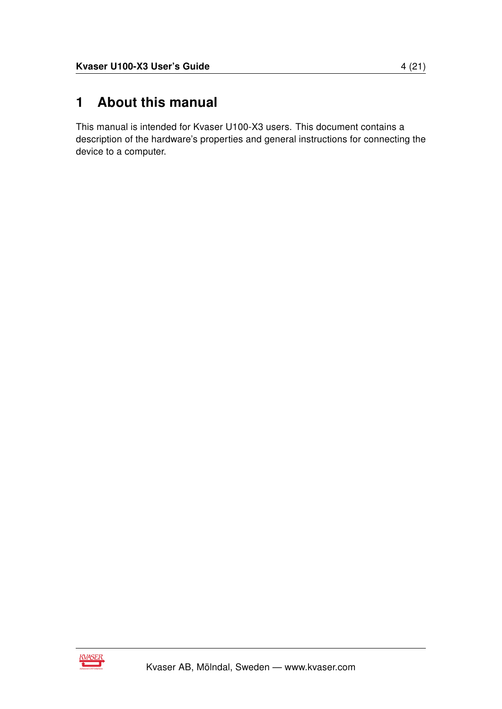## <span id="page-3-0"></span>1 About this manual

This manual is intended for Kvaser U100-X3 users. This document contains a description of the hardware's properties and general instructions for connecting the device to a computer.

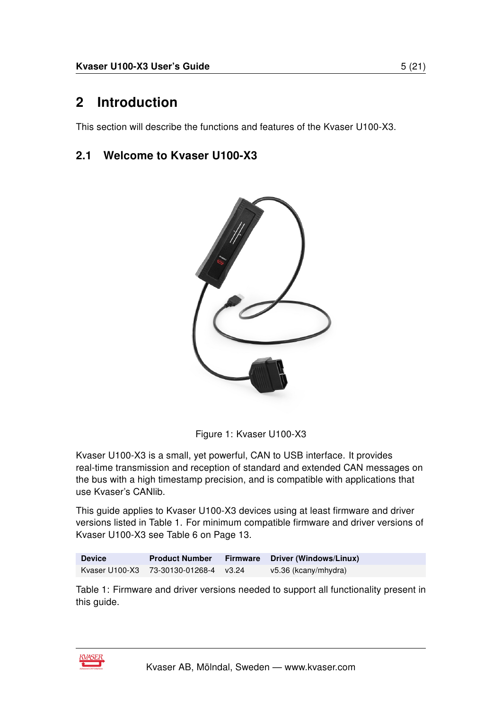# <span id="page-4-0"></span>2 Introduction

This section will describe the functions and features of the Kvaser U100-X3.

## <span id="page-4-1"></span>2.1 Welcome to Kvaser U100-X3



Figure 1: Kvaser U100-X3

Kvaser U100-X3 is a small, yet powerful, CAN to USB interface. It provides real-time transmission and reception of standard and extended CAN messages on the bus with a high timestamp precision, and is compatible with applications that use Kvaser's CANlib.

This guide applies to Kvaser U100-X3 devices using at least firmware and driver versions listed in [Table 1.](#page-4-2) For minimum compatible firmware and driver versions of Kvaser U100-X3 see [Table 6 on Page 13.](#page-12-1)

| <b>Device</b> |                                       | Product Number Firmware Driver (Windows/Linux) |
|---------------|---------------------------------------|------------------------------------------------|
|               | Kyaser U100-X3 73-30130-01268-4 v3.24 | v5.36 (kcany/mhydra)                           |

<span id="page-4-2"></span>Table 1: Firmware and driver versions needed to support all functionality present in this guide.

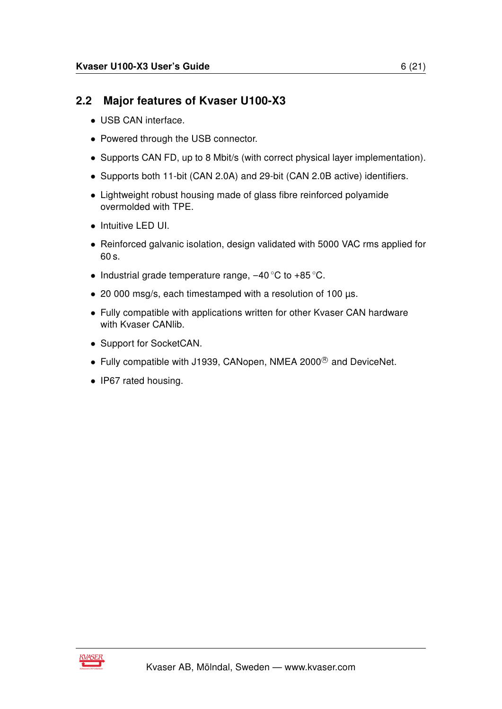#### <span id="page-5-0"></span>2.2 Major features of Kvaser U100-X3

- USB CAN interface.
- Powered through the USB connector.
- Supports CAN FD, up to 8 Mbit/s (with correct physical layer implementation).
- Supports both 11-bit (CAN 2.0A) and 29-bit (CAN 2.0B active) identifiers.
- Lightweight robust housing made of glass fibre reinforced polyamide overmolded with TPE.
- Intuitive LED UI.
- Reinforced galvanic isolation, design validated with 5000 VAC rms applied for 60 s.
- Industrial grade temperature range, −40 ◦C to +85 ◦C.
- 20 000 msg/s, each timestamped with a resolution of 100 µs.
- Fully compatible with applications written for other Kvaser CAN hardware with Kvaser CANlib.
- Support for SocketCAN.
- Fully compatible with J1939, CANopen, NMEA 2000 $^{\circledR}$  and DeviceNet.
- IP67 rated housing.

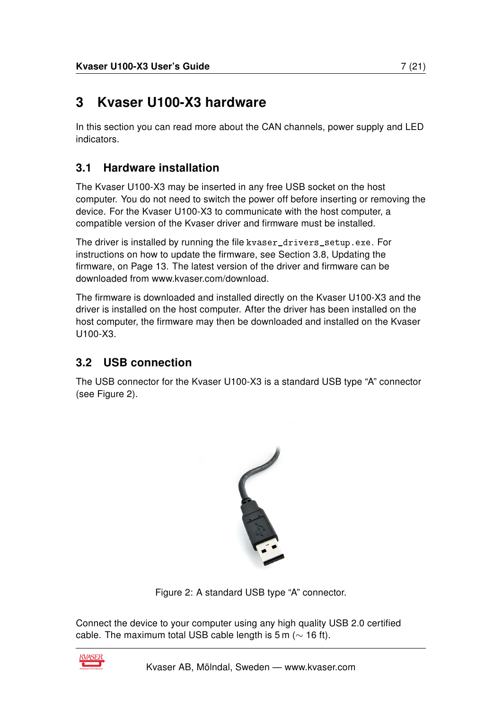# <span id="page-6-0"></span>3 Kvaser U100-X3 hardware

In this section you can read more about the CAN channels, power supply and LED indicators.

## <span id="page-6-1"></span>3.1 Hardware installation

The Kvaser U100-X3 may be inserted in any free USB socket on the host computer. You do not need to switch the power off before inserting or removing the device. For the Kvaser U100-X3 to communicate with the host computer, a compatible version of the Kvaser driver and firmware must be installed.

The driver is installed by running the file kvaser\_drivers\_setup.exe. For instructions on how to update the firmware, see [Section 3.8, Updating the](#page-12-0) [firmware, on Page 13.](#page-12-0) The latest version of the driver and firmware can be downloaded from [www.kvaser.com/download.](https://www.kvaser.com/download/)

The firmware is downloaded and installed directly on the Kvaser U100-X3 and the driver is installed on the host computer. After the driver has been installed on the host computer, the firmware may then be downloaded and installed on the Kvaser U100-X3.

## <span id="page-6-2"></span>3.2 USB connection

The USB connector for the Kvaser U100-X3 is a standard USB type "A" connector (see [Figure 2\)](#page-6-3).



<span id="page-6-3"></span>Figure 2: A standard USB type "A" connector.

Connect the device to your computer using any high quality USB 2.0 certified cable. The maximum total USB cable length is 5 m ( $\sim$  16 ft).

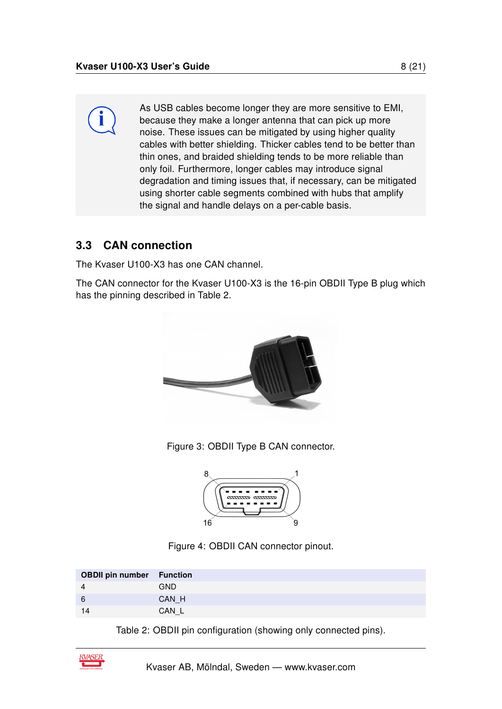As USB cables become longer they are more sensitive to EMI, because they make a longer antenna that can pick up more noise. These issues can be mitigated by using higher quality cables with better shielding. Thicker cables tend to be better than thin ones, and braided shielding tends to be more reliable than only foil. Furthermore, longer cables may introduce signal degradation and timing issues that, if necessary, can be mitigated using shorter cable segments combined with hubs that amplify the signal and handle delays on a per-cable basis.

### <span id="page-7-0"></span>3.3 CAN connection

The Kvaser U100-X3 has one CAN channel.

The CAN connector for the Kvaser U100-X3 is the 16-pin OBDII Type B plug which has the pinning described in [Table 2.](#page-7-1)







Figure 4: OBDII CAN connector pinout.

| <b>OBDII pin number Function</b> |            |
|----------------------------------|------------|
| $\Lambda$                        | <b>GND</b> |
| 6                                | CAN H      |
| 14                               | CAN L      |

<span id="page-7-1"></span>Table 2: OBDII pin configuration (showing only connected pins).

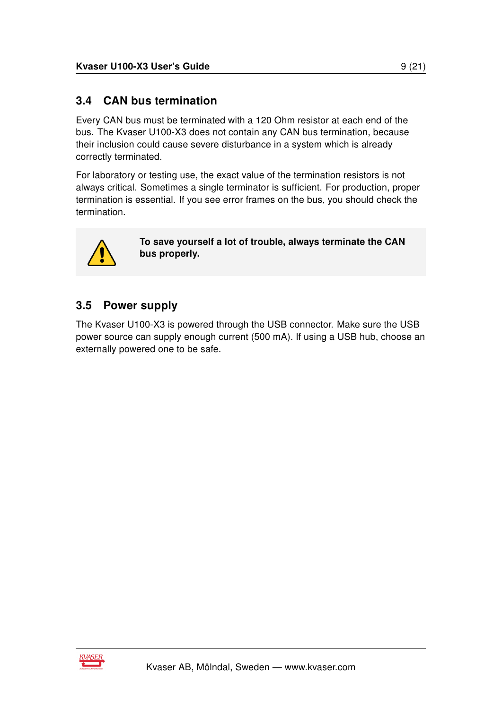### <span id="page-8-0"></span>3.4 CAN bus termination

Every CAN bus must be terminated with a 120 Ohm resistor at each end of the bus. The Kvaser U100-X3 does not contain any CAN bus termination, because their inclusion could cause severe disturbance in a system which is already correctly terminated.

For laboratory or testing use, the exact value of the termination resistors is not always critical. Sometimes a single terminator is sufficient. For production, proper termination is essential. If you see error frames on the bus, you should check the termination.



To save yourself a lot of trouble, always terminate the CAN bus properly.

## <span id="page-8-1"></span>3.5 Power supply

The Kvaser U100-X3 is powered through the USB connector. Make sure the USB power source can supply enough current (500 mA). If using a USB hub, choose an externally powered one to be safe.

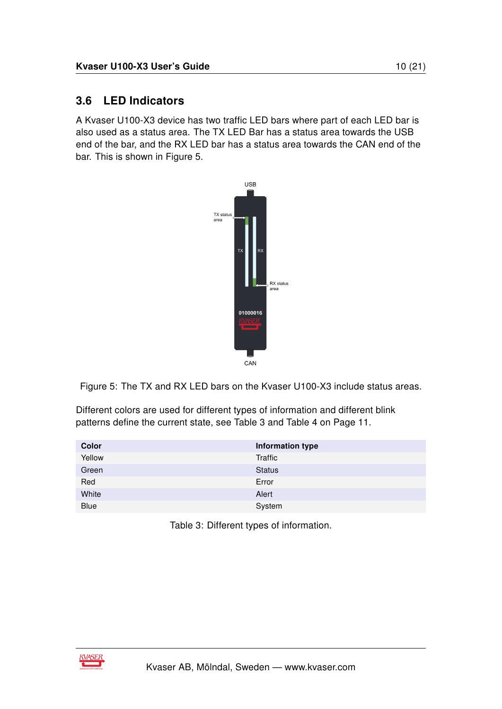## <span id="page-9-0"></span>3.6 LED Indicators

A Kvaser U100-X3 device has two traffic LED bars where part of each LED bar is also used as a status area. The TX LED Bar has a status area towards the USB end of the bar, and the RX LED bar has a status area towards the CAN end of the bar. This is shown in [Figure 5.](#page-9-1)



<span id="page-9-1"></span>Figure 5: The TX and RX LED bars on the Kvaser U100-X3 include status areas.

Different colors are used for different types of information and different blink patterns define the current state, see [Table 3](#page-9-2) and [Table 4 on Page 11.](#page-10-1)

| <b>Color</b> | Information type |
|--------------|------------------|
| Yellow       | Traffic          |
| Green        | <b>Status</b>    |
| Red          | Error            |
| White        | Alert            |
| Blue         | System           |

<span id="page-9-2"></span>Table 3: Different types of information.

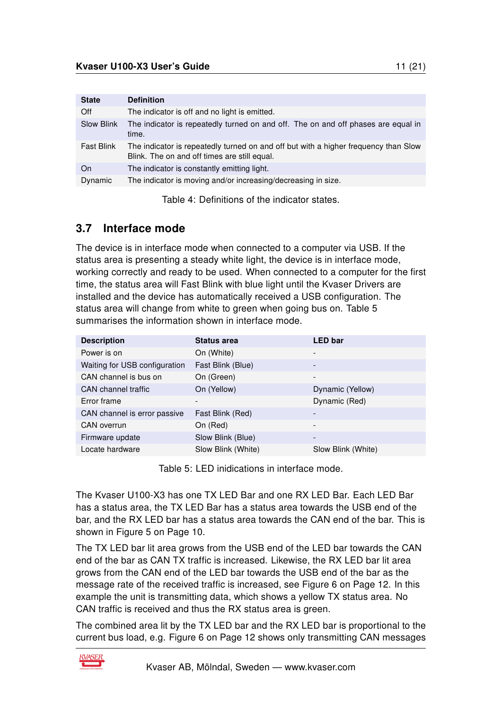| <b>State</b>      | <b>Definition</b>                                                                                                                   |
|-------------------|-------------------------------------------------------------------------------------------------------------------------------------|
| Off               | The indicator is off and no light is emitted.                                                                                       |
| <b>Slow Blink</b> | The indicator is repeatedly turned on and off. The on and off phases are equal in<br>time.                                          |
| <b>Fast Blink</b> | The indicator is repeatedly turned on and off but with a higher frequency than Slow<br>Blink. The on and off times are still equal. |
| On                | The indicator is constantly emitting light.                                                                                         |
| Dynamic           | The indicator is moving and/or increasing/decreasing in size.                                                                       |

<span id="page-10-1"></span>Table 4: Definitions of the indicator states.

## <span id="page-10-0"></span>3.7 Interface mode

The device is in interface mode when connected to a computer via USB. If the status area is presenting a steady white light, the device is in interface mode, working correctly and ready to be used. When connected to a computer for the first time, the status area will Fast Blink with blue light until the Kvaser Drivers are installed and the device has automatically received a USB configuration. The status area will change from white to green when going bus on. [Table 5](#page-10-2) summarises the information shown in interface mode.

| <b>Description</b>            | <b>Status area</b>       | <b>LED bar</b>           |
|-------------------------------|--------------------------|--------------------------|
| Power is on                   | On (White)               |                          |
| Waiting for USB configuration | Fast Blink (Blue)        |                          |
| CAN channel is bus on         | On (Green)               |                          |
| CAN channel traffic           | On (Yellow)              | Dynamic (Yellow)         |
| Error frame                   | $\overline{\phantom{a}}$ | Dynamic (Red)            |
| CAN channel is error passive  | Fast Blink (Red)         |                          |
| CAN overrun                   | On (Red)                 | $\overline{\phantom{a}}$ |
| Firmware update               | Slow Blink (Blue)        | $\overline{\phantom{a}}$ |
| Locate hardware               | Slow Blink (White)       | Slow Blink (White)       |

<span id="page-10-2"></span>Table 5: LED inidications in interface mode.

The Kvaser U100-X3 has one TX LED Bar and one RX LED Bar. Each LED Bar has a status area, the TX LED Bar has a status area towards the USB end of the bar, and the RX LED bar has a status area towards the CAN end of the bar. This is shown in [Figure 5 on Page 10.](#page-9-1)

The TX LED bar lit area grows from the USB end of the LED bar towards the CAN end of the bar as CAN TX traffic is increased. Likewise, the RX LED bar lit area grows from the CAN end of the LED bar towards the USB end of the bar as the message rate of the received traffic is increased, see [Figure 6 on Page 12.](#page-11-0) In this example the unit is transmitting data, which shows a yellow TX status area. No CAN traffic is received and thus the RX status area is green.

The combined area lit by the TX LED bar and the RX LED bar is proportional to the current bus load, e.g. [Figure 6 on Page 12](#page-11-0) shows only transmitting CAN messages

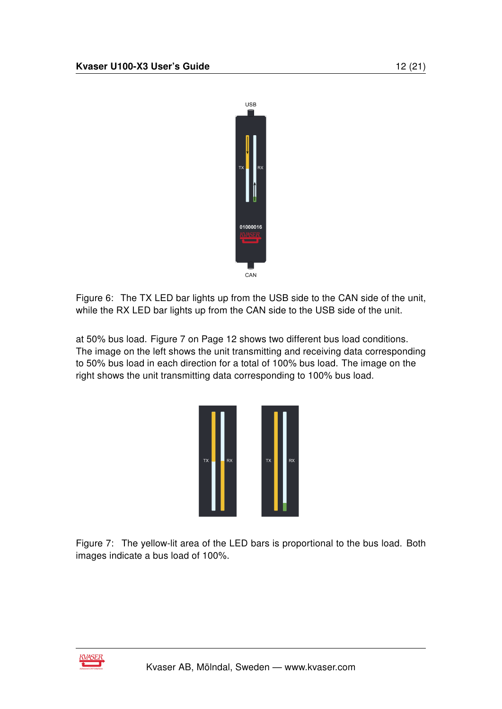

<span id="page-11-0"></span>Figure 6: The TX LED bar lights up from the USB side to the CAN side of the unit, while the RX LED bar lights up from the CAN side to the USB side of the unit.

at 50% bus load. [Figure 7 on Page 12](#page-11-1) shows two different bus load conditions. The image on the left shows the unit transmitting and receiving data corresponding to 50% bus load in each direction for a total of 100% bus load. The image on the right shows the unit transmitting data corresponding to 100% bus load.



<span id="page-11-1"></span>Figure 7: The yellow-lit area of the LED bars is proportional to the bus load. Both images indicate a bus load of 100%.

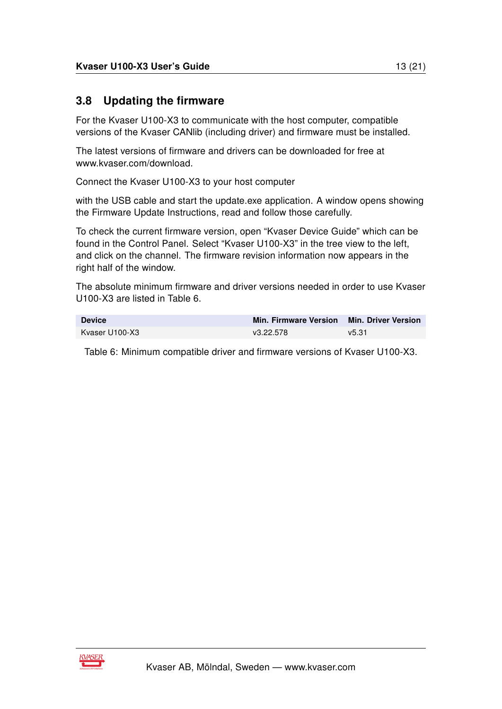### <span id="page-12-0"></span>3.8 Updating the firmware

For the Kvaser U100-X3 to communicate with the host computer, compatible versions of the Kvaser CANlib (including driver) and firmware must be installed.

The latest versions of firmware and drivers can be downloaded for free at [www.kvaser.com/download.](https://www.kvaser.com/download/)

Connect the Kvaser U100-X3 to your host computer

with the USB cable and start the update.exe application. A window opens showing the Firmware Update Instructions, read and follow those carefully.

To check the current firmware version, open "Kvaser Device Guide" which can be found in the Control Panel. Select "Kvaser U100-X3" in the tree view to the left, and click on the channel. The firmware revision information now appears in the right half of the window.

The absolute minimum firmware and driver versions needed in order to use Kvaser U100-X3 are listed in [Table 6.](#page-12-1)

| <b>Device</b>  | Min. Firmware Version Min. Driver Version |       |
|----------------|-------------------------------------------|-------|
| Kvaser U100-X3 | v3.22.578                                 | v5.31 |

<span id="page-12-1"></span>Table 6: Minimum compatible driver and firmware versions of Kvaser U100-X3.

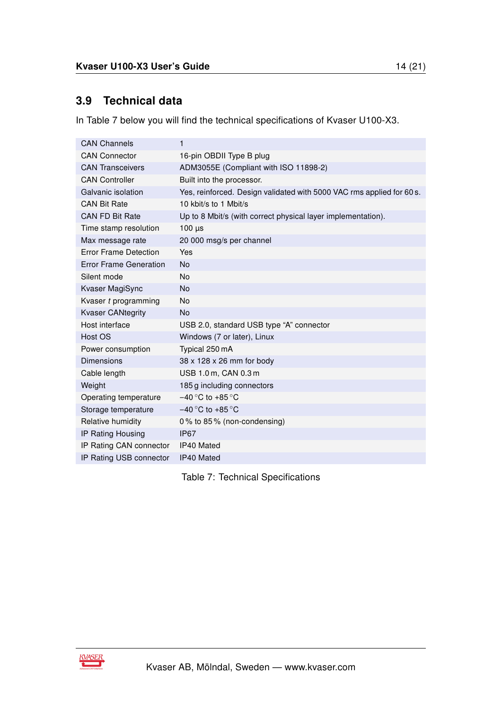### <span id="page-13-0"></span>3.9 Technical data

In [Table 7](#page-13-1) below you will find the technical specifications of Kvaser U100-X3.

| <b>CAN Channels</b>           | 1                                                                     |
|-------------------------------|-----------------------------------------------------------------------|
| <b>CAN Connector</b>          | 16-pin OBDII Type B plug                                              |
| <b>CAN Transceivers</b>       | ADM3055E (Compliant with ISO 11898-2)                                 |
| <b>CAN Controller</b>         | Built into the processor.                                             |
| Galvanic isolation            | Yes, reinforced. Design validated with 5000 VAC rms applied for 60 s. |
| <b>CAN Bit Rate</b>           | 10 kbit/s to 1 Mbit/s                                                 |
| <b>CAN FD Bit Rate</b>        | Up to 8 Mbit/s (with correct physical layer implementation).          |
| Time stamp resolution         | $100 \mu s$                                                           |
| Max message rate              | 20 000 msg/s per channel                                              |
| Error Frame Detection         | Yes                                                                   |
| <b>Error Frame Generation</b> | <b>No</b>                                                             |
| Silent mode                   | No                                                                    |
| Kvaser MagiSync               | <b>No</b>                                                             |
| Kvaser t programming          | No                                                                    |
| <b>Kvaser CANtegrity</b>      | <b>No</b>                                                             |
| Host interface                | USB 2.0, standard USB type "A" connector                              |
| Host OS                       | Windows (7 or later), Linux                                           |
| Power consumption             | Typical 250 mA                                                        |
| <b>Dimensions</b>             | 38 x 128 x 26 mm for body                                             |
| Cable length                  | USB 1.0 m, CAN 0.3 m                                                  |
| Weight                        | 185 g including connectors                                            |
| Operating temperature         | $-40\,^{\circ}\text{C}$ to +85 $^{\circ}\text{C}$                     |
| Storage temperature           | $-40^{\circ}$ C to +85 $^{\circ}$ C                                   |
| Relative humidity             | 0% to 85% (non-condensing)                                            |
| IP Rating Housing             | <b>IP67</b>                                                           |
| IP Rating CAN connector       | IP40 Mated                                                            |
| IP Rating USB connector       | IP40 Mated                                                            |

<span id="page-13-1"></span>Table 7: Technical Specifications

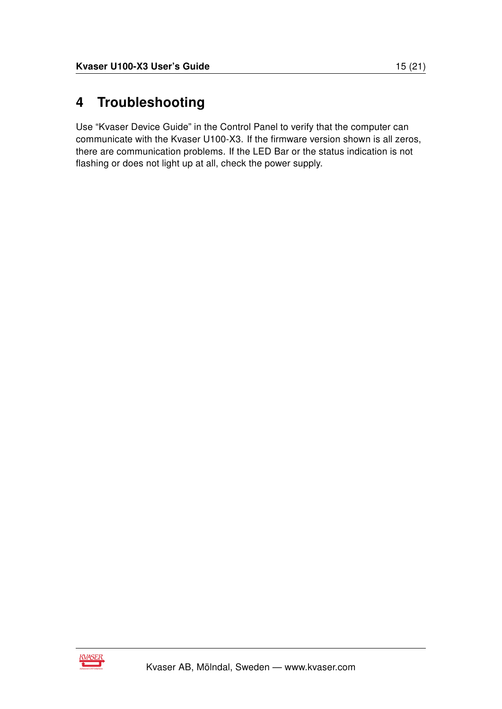## <span id="page-14-0"></span>4 Troubleshooting

Use "Kvaser Device Guide" in the Control Panel to verify that the computer can communicate with the Kvaser U100-X3. If the firmware version shown is all zeros, there are communication problems. If the LED Bar or the status indication is not flashing or does not light up at all, check the power supply.

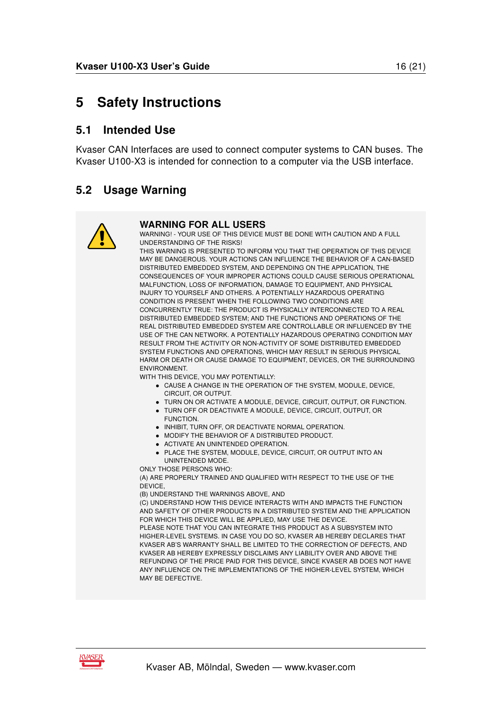## <span id="page-15-0"></span>5 Safety Instructions

#### <span id="page-15-1"></span>5.1 Intended Use

Kvaser CAN Interfaces are used to connect computer systems to CAN buses. The Kvaser U100-X3 is intended for connection to a computer via the USB interface.

## <span id="page-15-2"></span>5.2 Usage Warning



#### WARNING FOR ALL USERS

WARNING! - YOUR USE OF THIS DEVICE MUST BE DONE WITH CAUTION AND A FULL UNDERSTANDING OF THE RISKS!

THIS WARNING IS PRESENTED TO INFORM YOU THAT THE OPERATION OF THIS DEVICE MAY BE DANGEROUS. YOUR ACTIONS CAN INFLUENCE THE BEHAVIOR OF A CAN-BASED DISTRIBUTED EMBEDDED SYSTEM, AND DEPENDING ON THE APPLICATION, THE CONSEQUENCES OF YOUR IMPROPER ACTIONS COULD CAUSE SERIOUS OPERATIONAL MALFUNCTION, LOSS OF INFORMATION, DAMAGE TO EQUIPMENT, AND PHYSICAL INJURY TO YOURSELF AND OTHERS. A POTENTIALLY HAZARDOUS OPERATING CONDITION IS PRESENT WHEN THE FOLLOWING TWO CONDITIONS ARE CONCURRENTLY TRUE: THE PRODUCT IS PHYSICALLY INTERCONNECTED TO A REAL DISTRIBUTED EMBEDDED SYSTEM; AND THE FUNCTIONS AND OPERATIONS OF THE REAL DISTRIBUTED EMBEDDED SYSTEM ARE CONTROLLABLE OR INFLUENCED BY THE USE OF THE CAN NETWORK. A POTENTIALLY HAZARDOUS OPERATING CONDITION MAY RESULT FROM THE ACTIVITY OR NON-ACTIVITY OF SOME DISTRIBUTED EMBEDDED SYSTEM FUNCTIONS AND OPERATIONS, WHICH MAY RESULT IN SERIOUS PHYSICAL HARM OR DEATH OR CAUSE DAMAGE TO EQUIPMENT, DEVICES, OR THE SURROUNDING ENVIRONMENT.

WITH THIS DEVICE, YOU MAY POTENTIALLY:

- CAUSE A CHANGE IN THE OPERATION OF THE SYSTEM, MODULE, DEVICE, CIRCUIT, OR OUTPUT.
- TURN ON OR ACTIVATE A MODULE, DEVICE, CIRCUIT, OUTPUT, OR FUNCTION.
- TURN OFF OR DEACTIVATE A MODULE, DEVICE, CIRCUIT, OUTPUT, OR
- FUNCTION. • INHIBIT, TURN OFF, OR DEACTIVATE NORMAL OPERATION.
- MODIFY THE BEHAVIOR OF A DISTRIBUTED PRODUCT.
- ACTIVATE AN UNINTENDED OPERATION.
- PLACE THE SYSTEM, MODULE, DEVICE, CIRCUIT, OR OUTPUT INTO AN UNINTENDED MODE.
- ONLY THOSE PERSONS WHO:

(A) ARE PROPERLY TRAINED AND QUALIFIED WITH RESPECT TO THE USE OF THE **DEVICE** 

(B) UNDERSTAND THE WARNINGS ABOVE, AND

(C) UNDERSTAND HOW THIS DEVICE INTERACTS WITH AND IMPACTS THE FUNCTION AND SAFETY OF OTHER PRODUCTS IN A DISTRIBUTED SYSTEM AND THE APPLICATION FOR WHICH THIS DEVICE WILL BE APPLIED, MAY USE THE DEVICE.

PLEASE NOTE THAT YOU CAN INTEGRATE THIS PRODUCT AS A SUBSYSTEM INTO HIGHER-LEVEL SYSTEMS. IN CASE YOU DO SO, KVASER AB HEREBY DECLARES THAT KVASER AB'S WARRANTY SHALL BE LIMITED TO THE CORRECTION OF DEFECTS, AND KVASER AB HEREBY EXPRESSLY DISCLAIMS ANY LIABILITY OVER AND ABOVE THE REFUNDING OF THE PRICE PAID FOR THIS DEVICE, SINCE KVASER AB DOES NOT HAVE ANY INFLUENCE ON THE IMPLEMENTATIONS OF THE HIGHER-LEVEL SYSTEM, WHICH MAY BE DEFECTIVE.

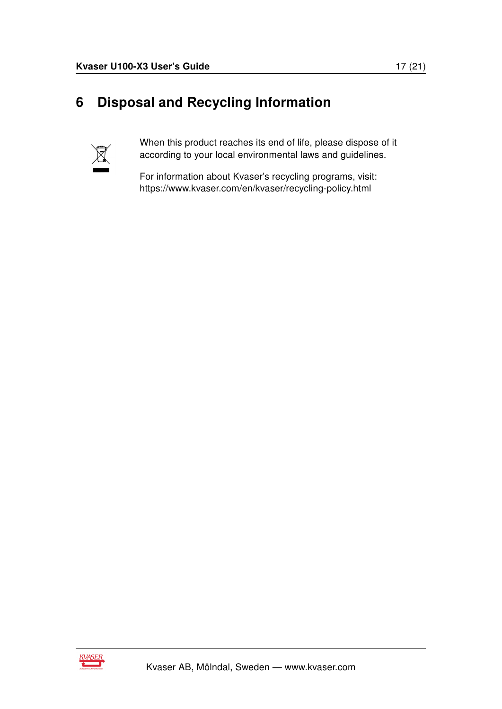# <span id="page-16-0"></span>6 Disposal and Recycling Information



When this product reaches its end of life, please dispose of it according to your local environmental laws and guidelines.

For information about Kvaser's recycling programs, visit: <https://www.kvaser.com/en/kvaser/recycling-policy.html>

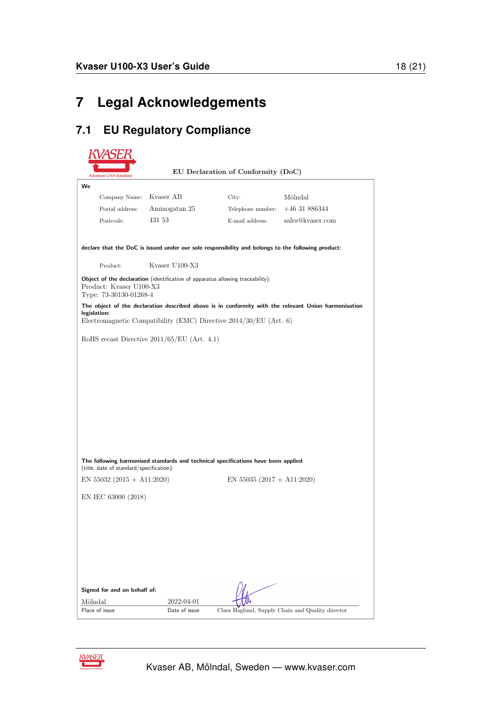# <span id="page-17-0"></span>7 Legal Acknowledgements

## <span id="page-17-1"></span>7.1 EU Regulatory Compliance

| <b>Advanced CAN Solutions</b>                                                                                                              |                                                                                       | EU Declaration of Conformity (DoC)                                                                 |                                                                                                      |
|--------------------------------------------------------------------------------------------------------------------------------------------|---------------------------------------------------------------------------------------|----------------------------------------------------------------------------------------------------|------------------------------------------------------------------------------------------------------|
| We                                                                                                                                         |                                                                                       |                                                                                                    |                                                                                                      |
| Company Name:                                                                                                                              | Kvaser AB                                                                             | City:                                                                                              | Mölndal                                                                                              |
| Postal address:                                                                                                                            | Aminogatan 25                                                                         | Telephone number:                                                                                  | $+4631886344$                                                                                        |
| Postcode:                                                                                                                                  | 431 53                                                                                | E-mail address:                                                                                    | sales@kvaser.com                                                                                     |
|                                                                                                                                            |                                                                                       | declare that the DoC is issued under our sole responsibility and belongs to the following product: |                                                                                                      |
| Product:                                                                                                                                   | Kvaser U100-X3                                                                        |                                                                                                    |                                                                                                      |
| Product: Kvaser U100-X3<br>Type: 73-30130-01268-4                                                                                          | <b>Object of the declaration</b> (identification of apparatus allowing traceability): |                                                                                                    |                                                                                                      |
| legislation:                                                                                                                               |                                                                                       |                                                                                                    | The object of the declaration described above is in conformity with the relevant Union harmonisation |
|                                                                                                                                            |                                                                                       | Electromagnetic Compatibility (EMC) Directive $2014/30/EU$ (Art. 6)                                |                                                                                                      |
|                                                                                                                                            | RoHS recast Directive 2011/65/EU (Art. 4.1)                                           |                                                                                                    |                                                                                                      |
|                                                                                                                                            |                                                                                       |                                                                                                    |                                                                                                      |
|                                                                                                                                            |                                                                                       |                                                                                                    |                                                                                                      |
|                                                                                                                                            |                                                                                       |                                                                                                    |                                                                                                      |
|                                                                                                                                            |                                                                                       |                                                                                                    |                                                                                                      |
|                                                                                                                                            |                                                                                       |                                                                                                    |                                                                                                      |
|                                                                                                                                            |                                                                                       |                                                                                                    |                                                                                                      |
|                                                                                                                                            |                                                                                       |                                                                                                    |                                                                                                      |
|                                                                                                                                            |                                                                                       |                                                                                                    |                                                                                                      |
|                                                                                                                                            |                                                                                       |                                                                                                    |                                                                                                      |
|                                                                                                                                            |                                                                                       |                                                                                                    |                                                                                                      |
|                                                                                                                                            |                                                                                       |                                                                                                    |                                                                                                      |
|                                                                                                                                            |                                                                                       |                                                                                                    |                                                                                                      |
|                                                                                                                                            |                                                                                       |                                                                                                    |                                                                                                      |
|                                                                                                                                            |                                                                                       | The following harmonised standards and technical specifications have been applied                  |                                                                                                      |
|                                                                                                                                            |                                                                                       |                                                                                                    |                                                                                                      |
|                                                                                                                                            |                                                                                       | EN 55035 $(2017 + A11:2020)$                                                                       |                                                                                                      |
|                                                                                                                                            |                                                                                       |                                                                                                    |                                                                                                      |
|                                                                                                                                            |                                                                                       |                                                                                                    |                                                                                                      |
|                                                                                                                                            |                                                                                       |                                                                                                    |                                                                                                      |
|                                                                                                                                            |                                                                                       |                                                                                                    |                                                                                                      |
|                                                                                                                                            |                                                                                       |                                                                                                    |                                                                                                      |
|                                                                                                                                            |                                                                                       |                                                                                                    |                                                                                                      |
|                                                                                                                                            |                                                                                       |                                                                                                    |                                                                                                      |
|                                                                                                                                            |                                                                                       |                                                                                                    |                                                                                                      |
|                                                                                                                                            |                                                                                       |                                                                                                    |                                                                                                      |
|                                                                                                                                            |                                                                                       |                                                                                                    |                                                                                                      |
| (title, date of standard/specification):<br>EN 55032 $(2015 + A11:2020)$<br>EN IEC 63000 (2018)<br>Signed for and on behalf of:<br>Mölndal | 2022-04-01                                                                            |                                                                                                    |                                                                                                      |

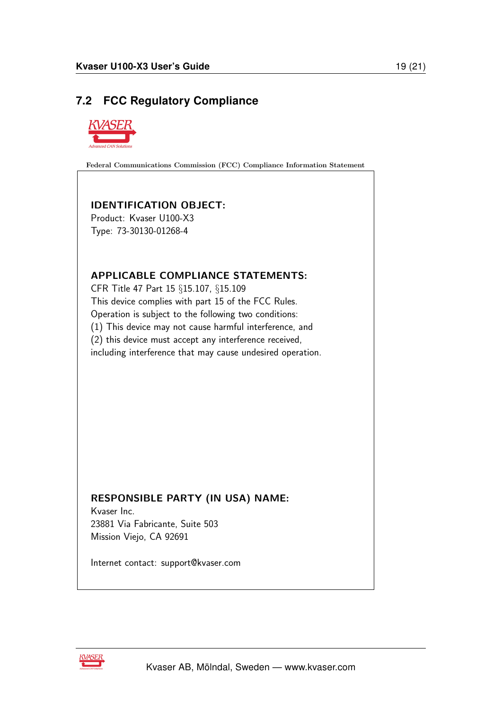## <span id="page-18-0"></span>7.2 FCC Regulatory Compliance



Federal Communications Commission (FCC) Compliance Information Statement

#### IDENTIFICATION OBJECT:

Product: Kvaser U100-X3 Type: 73-30130-01268-4

#### APPLICABLE COMPLIANCE STATEMENTS:

CFR Title 47 Part 15 §15.107, §15.109 This device complies with part 15 of the FCC Rules. Operation is subject to the following two conditions: (1) This device may not cause harmful interference, and (2) this device must accept any interference received, including interference that may cause undesired operation.

#### RESPONSIBLE PARTY (IN USA) NAME:

Kvaser Inc. 23881 Via Fabricante, Suite 503 Mission Viejo, CA 92691

Internet contact: support@kvaser.com

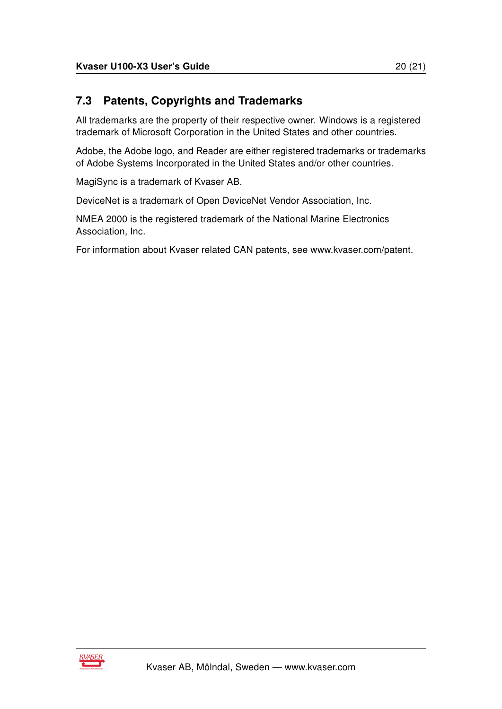## <span id="page-19-0"></span>7.3 Patents, Copyrights and Trademarks

All trademarks are the property of their respective owner. Windows is a registered trademark of Microsoft Corporation in the United States and other countries.

Adobe, the Adobe logo, and Reader are either registered trademarks or trademarks of Adobe Systems Incorporated in the United States and/or other countries.

MagiSync is a trademark of Kvaser AB.

DeviceNet is a trademark of Open DeviceNet Vendor Association, Inc.

NMEA 2000 is the registered trademark of the National Marine Electronics Association, Inc.

For information about Kvaser related CAN patents, see [www.kvaser.com/patent.](https://www.kvaser.com/patent/)